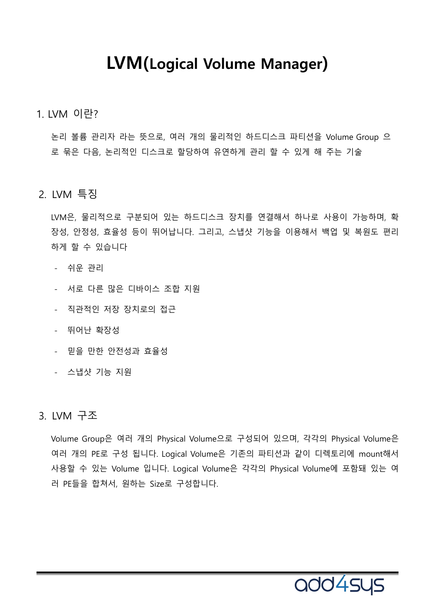# **LVM(Logical Volume Manager)**

1. LVM 이란?

논리 볼륨 관리자 라는 뜻으로, 여러 개의 물리적인 하드디스크 파티션을 Volume Group 으 로 묶은 다음, 논리적인 디스크로 할당하여 유연하게 관리 할 수 있게 해 주는 기술

### 2. LVM 특징

LVM은, 물리적으로 구분되어 있는 하드디스크 장치를 연결해서 하나로 사용이 가능하며, 확 장성, 안정성, 효율성 등이 뛰어납니다. 그리고, 스냅샷 기능을 이용해서 백업 및 복원도 편리 하게 할 수 있습니다

- 쉬운 관리
- 서로 다른 많은 디바이스 조합 지원
- 직관적인 저장 장치로의 접근
- 뛰어난 확장성
- 믿을 만한 안전성과 효율성
- 스냅샷 기능 지원

## 3. LVM 구조

Volume Group은 여러 개의 Physical Volume으로 구성되어 있으며, 각각의 Physical Volume은 여러 개의 PE로 구성 됩니다. Logical Volume은 기존의 파티션과 같이 디렉토리에 mount해서 사용할 수 있는 Volume 입니다. Logical Volume은 각각의 Physical Volume에 포함돼 있는 여 러 PE들을 합쳐서, 원하는 Size로 구성합니다.

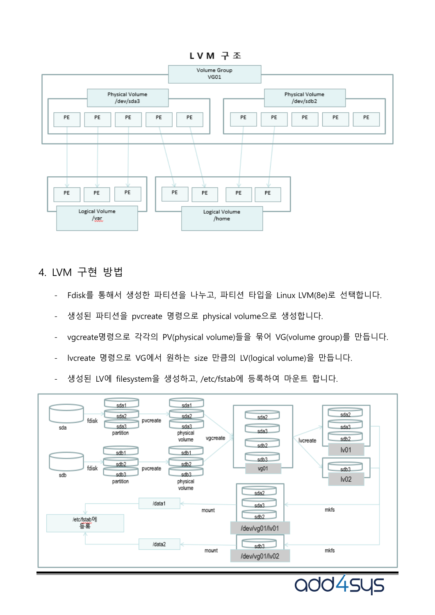### LVM 구조



## 4. LVM 구현 방법

- Fdisk를 통해서 생성한 파티션을 나누고, 파티션 타입을 Linux LVM(8e)로 선택합니다.
- 생성된 파티션을 pvcreate 명령으로 physical volume으로 생성합니다.
- vgcreate명령으로 각각의 PV(physical volume)들을 묶어 VG(volume group)를 만듭니다.
- lvcreate 명령으로 VG에서 원하는 size 만큼의 LV(logical volume)을 만듭니다.
- 생성된 LV에 filesystem을 생성하고, /etc/fstab에 등록하여 마운트 합니다.

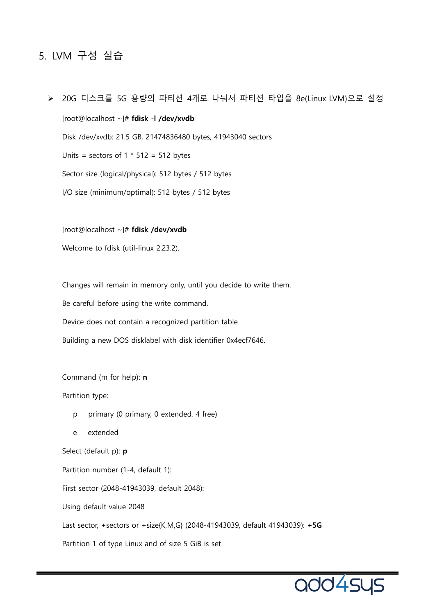## 5. LVM 구성 실습

➢ 20G 디스크를 5G 용량의 파티션 4개로 나눠서 파티션 타입을 8e(Linux LVM)으로 설정 [root@localhost ~]# **fdisk -l /dev/xvdb** Disk /dev/xvdb: 21.5 GB, 21474836480 bytes, 41943040 sectors Units = sectors of  $1 * 512 = 512$  bytes Sector size (logical/physical): 512 bytes / 512 bytes I/O size (minimum/optimal): 512 bytes / 512 bytes

[root@localhost ~]# **fdisk /dev/xvdb**

Welcome to fdisk (util-linux 2.23.2).

Changes will remain in memory only, until you decide to write them.

Be careful before using the write command.

Device does not contain a recognized partition table

Building a new DOS disklabel with disk identifier 0x4ecf7646.

Command (m for help): **n**

Partition type:

- p primary (0 primary, 0 extended, 4 free)
- e extended
- Select (default p): **p**

Partition number (1-4, default 1):

First sector (2048-41943039, default 2048):

Using default value 2048

Last sector, +sectors or +size{K,M,G} (2048-41943039, default 41943039): **+5G**

Partition 1 of type Linux and of size 5 GiB is set

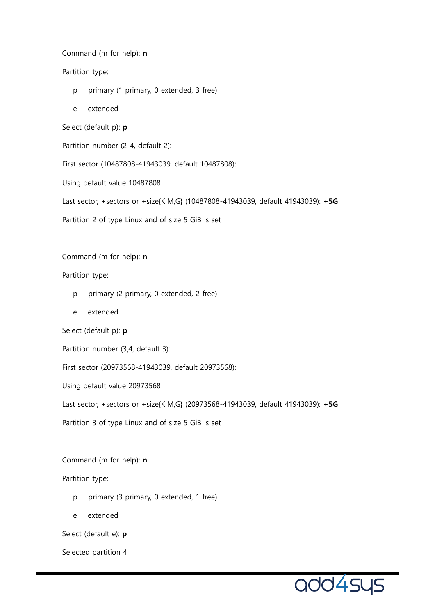Command (m for help): **n**

#### Partition type:

- p primary (1 primary, 0 extended, 3 free)
- e extended

Select (default p): **p**

Partition number (2-4, default 2):

First sector (10487808-41943039, default 10487808):

Using default value 10487808

Last sector, +sectors or +size{K,M,G} (10487808-41943039, default 41943039): **+5G**

Partition 2 of type Linux and of size 5 GiB is set

Command (m for help): **n**

Partition type:

- p primary (2 primary, 0 extended, 2 free)
- e extended

Select (default p): **p**

Partition number (3,4, default 3):

First sector (20973568-41943039, default 20973568):

Using default value 20973568

Last sector, +sectors or +size{K,M,G} (20973568-41943039, default 41943039): **+5G**

Partition 3 of type Linux and of size 5 GiB is set

Command (m for help): **n**

Partition type:

- p primary (3 primary, 0 extended, 1 free)
- e extended

Select (default e): **p**

Selected partition 4

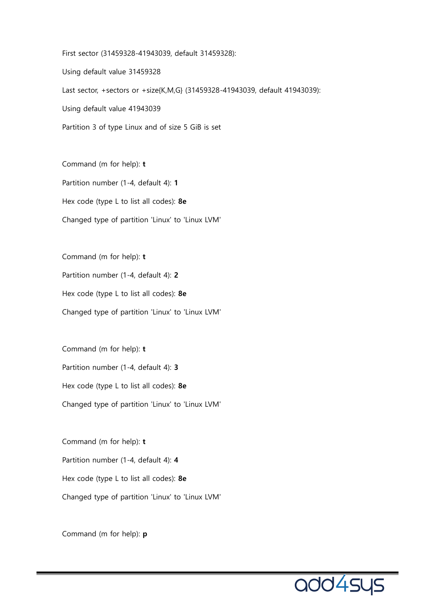First sector (31459328-41943039, default 31459328): Using default value 31459328 Last sector, +sectors or +size{K,M,G} (31459328-41943039, default 41943039): Using default value 41943039 Partition 3 of type Linux and of size 5 GiB is set

Command (m for help): **t** Partition number (1-4, default 4): **1** Hex code (type L to list all codes): **8e** Changed type of partition 'Linux' to 'Linux LVM'

Command (m for help): **t** Partition number (1-4, default 4): **2** Hex code (type L to list all codes): **8e** Changed type of partition 'Linux' to 'Linux LVM'

Command (m for help): **t** Partition number (1-4, default 4): **3** Hex code (type L to list all codes): **8e** Changed type of partition 'Linux' to 'Linux LVM'

Command (m for help): **t** Partition number (1-4, default 4): **4** Hex code (type L to list all codes): **8e** Changed type of partition 'Linux' to 'Linux LVM'

Command (m for help): **p**

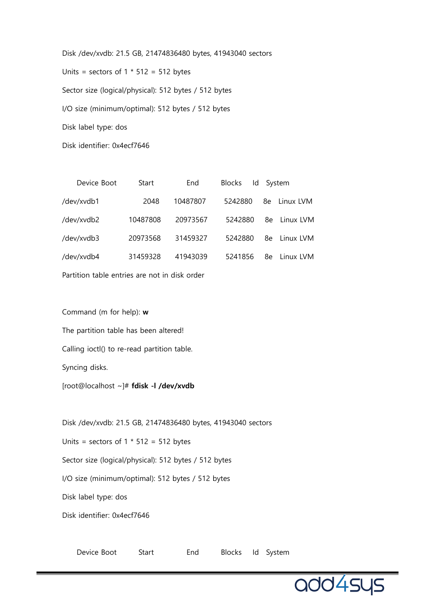Disk /dev/xvdb: 21.5 GB, 21474836480 bytes, 41943040 sectors Units = sectors of  $1 * 512 = 512$  bytes Sector size (logical/physical): 512 bytes / 512 bytes I/O size (minimum/optimal): 512 bytes / 512 bytes Disk label type: dos Disk identifier: 0x4ecf7646

| Device Boot | Start    | End      | <b>Blocks</b> | Id System |           |
|-------------|----------|----------|---------------|-----------|-----------|
| /dev/xvdb1  | 2048     | 10487807 | 5242880       | 8e.       | Linux LVM |
| /dev/xvdb2  | 10487808 | 20973567 | 5242880       | 8e.       | Linux LVM |
| /dev/xvdb3  | 20973568 | 31459327 | 5242880       | 8e        | Linux LVM |
| /dev/xvdb4  | 31459328 | 41943039 | 5241856       | 8e        | Linux LVM |
|             |          |          |               |           |           |

Partition table entries are not in disk order

Command (m for help): **w**

The partition table has been altered!

Calling ioctl() to re-read partition table.

Syncing disks.

[root@localhost ~]# **fdisk -l /dev/xvdb**

Disk /dev/xvdb: 21.5 GB, 21474836480 bytes, 41943040 sectors

Units = sectors of  $1 * 512 = 512$  bytes

Sector size (logical/physical): 512 bytes / 512 bytes

I/O size (minimum/optimal): 512 bytes / 512 bytes

Disk label type: dos

Disk identifier: 0x4ecf7646

Device Boot Start End Blocks Id System

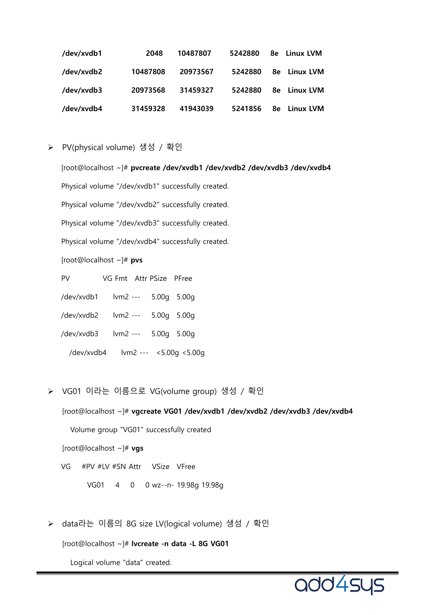| /dev/xvdb1 | 2048     | 10487807 | 5242880 | 8e Linux LVM           |
|------------|----------|----------|---------|------------------------|
| /dev/xvdb2 | 10487808 | 20973567 | 5242880 | 8e Linux LVM           |
| /dev/xvdb3 | 20973568 | 31459327 | 5242880 | 8e Linux LVM           |
| /dev/xvdb4 | 31459328 | 41943039 | 5241856 | <b>Linux LVM</b><br>8e |

➢ PV(physical volume) 생성 / 확인

[root@localhost ~]# **pvcreate /dev/xvdb1 /dev/xvdb2 /dev/xvdb3 /dev/xvdb4** Physical volume "/dev/xvdb1" successfully created. Physical volume "/dev/xvdb2" successfully created. Physical volume "/dev/xvdb3" successfully created. Physical volume "/dev/xvdb4" successfully created. [root@localhost ~]# **pvs** PV VG Fmt Attr PSize PFree /dev/xvdb1 lvm2 --- 5.00g 5.00g /dev/xvdb2 lvm2 --- 5.00g 5.00g

- /dev/xvdb3 lvm2 --- 5.00g 5.00g
	- /dev/xvdb4 lvm2 --- <5.00g <5.00g
- ➢ VG01 이라는 이름으로 VG(volume group) 생성 / 확인

[root@localhost ~]# **vgcreate VG01 /dev/xvdb1 /dev/xvdb2 /dev/xvdb3 /dev/xvdb4**

- Volume group "VG01" successfully created
- [root@localhost ~]# **vgs**
- VG #PV #LV #SN Attr VSize VFree
	- VG01 4 0 0 wz--n- 19.98g 19.98g
- ➢ data라는 이름의 8G size LV(logical volume) 생성 / 확인

[root@localhost ~]# **lvcreate -n data -L 8G VG01**

Logical volume "data" created.

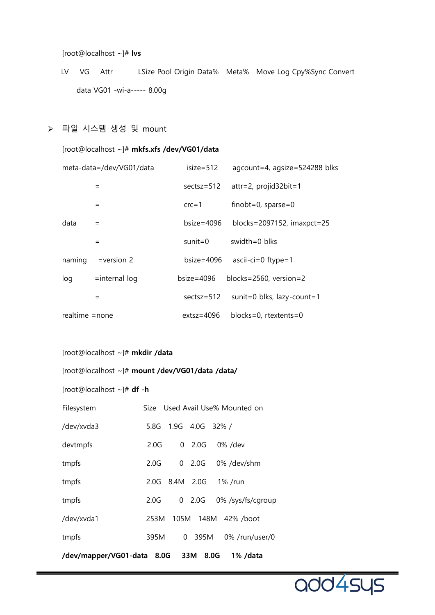[root@localhost ~]# **lvs**

- LV VG Attr LSize Pool Origin Data% Meta% Move Log Cpy%Sync Convert data VG01 -wi-a----- 8.00g
- ➢ 파일 시스템 생성 및 mount

| [root@localhost ~]# mkfs.xfs /dev/VG01/data |                  |                |                               |  |  |
|---------------------------------------------|------------------|----------------|-------------------------------|--|--|
| meta-data=/dev/VG01/data                    |                  | $isize=512$    | agcount=4, agsize=524288 blks |  |  |
|                                             | $=$              | $sectsz = 512$ | $attr=2$ , projid 32 bit = 1  |  |  |
|                                             | $=$              | $crc=1$        | finobt=0, sparse=0            |  |  |
| data                                        | $=$              | $bsize=4096$   | blocks=2097152, imaxpct=25    |  |  |
|                                             | $=$              | $sunit = 0$    | swidth= $0$ blks              |  |  |
| naming                                      | $=version 2$     | $bsize=4096$   | $ascii-ci=0$ ftype=1          |  |  |
| log                                         | $=$ internal log | $bsize=4096$   | blocks=2560, version=2        |  |  |
|                                             | $\equiv$         | $sectsz = 512$ | sunit=0 blks, lazy-count=1    |  |  |
| realtime =none                              |                  | $extsz = 4096$ | blocks=0, rtextents=0         |  |  |

```
[root@localhost ~]# mkdir /data
```
- [root@localhost ~]# **mount /dev/VG01/data /data/**
- [root@localhost ~]# **df -h**

| /dev/mapper/VG01-data 8.0G |      |                | 33M    | 8.0G<br>1% /data                |
|----------------------------|------|----------------|--------|---------------------------------|
| tmpfs                      | 395M |                | 0 395M | 0% /run/user/0                  |
| /dev/xvda1                 | 253M |                |        | 105M 148M 42% /boot             |
| tmpfs                      | 2.0G |                |        | 0 2.0G 0% /sys/fs/cgroup        |
| tmpfs                      |      | 2.0G 8.4M 2.0G |        | 1% /run                         |
| tmpfs                      | 2.0G |                |        | 0 2.0G 0% /dev/shm              |
| devtmpfs                   | 2.0G |                |        | 0 2.0G 0% /dev                  |
| /dev/xvda3                 | 5.8G | 1.9G 4.0G 32%/ |        |                                 |
| Filesystem                 |      |                |        | Size Used Avail Use% Mounted on |

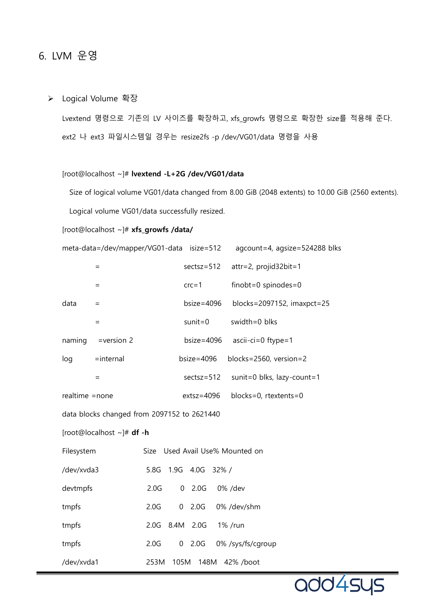## 6. LVM 운영

#### ➢ Logical Volume 확장

Lvextend 명령으로 기존의 LV 사이즈를 확장하고, xfs\_growfs 명령으로 확장한 size를 적용해 준다. ext2 나 ext3 파일시스템일 경우는 resize2fs -p /dev/VG01/data 명령을 사용

#### [root@localhost ~]# **lvextend -L+2G /dev/VG01/data**

 Size of logical volume VG01/data changed from 8.00 GiB (2048 extents) to 10.00 GiB (2560 extents). Logical volume VG01/data successfully resized.

#### [root@localhost ~]# **xfs\_growfs /data/**

|                | meta-data=/dev/mapper/VG01-data isize=512   |      |                  |                |       | agcount=4, agsize=524288 blks   |
|----------------|---------------------------------------------|------|------------------|----------------|-------|---------------------------------|
|                | $\equiv$                                    |      |                  | $sectsz = 512$ |       | attr=2, projid32bit=1           |
|                | $=$                                         |      |                  | $crc=1$        |       | $finobt=0$ spinodes=0           |
| data           | $=$                                         |      |                  | $bsize=4096$   |       | blocks=2097152, imaxpct=25      |
|                | $=$                                         |      |                  | $sunit = 0$    |       | swidth=0 blks                   |
| naming         | $=version 2$                                |      |                  | $bsize=4096$   |       | ascii-ci=0 ftype=1              |
| log            | $=$ internal                                |      |                  | bsize= $4096$  |       | blocks=2560, version=2          |
|                | $=$                                         |      |                  | $sectsz = 512$ |       | sunit=0 blks, lazy-count=1      |
| realtime =none |                                             |      |                  | $extsz = 4096$ |       | blocks=0, rtextents=0           |
|                | data blocks changed from 2097152 to 2621440 |      |                  |                |       |                                 |
|                | [root@localhost ~]# df -h                   |      |                  |                |       |                                 |
| Filesystem     |                                             |      |                  |                |       | Size Used Avail Use% Mounted on |
| /dev/xvda3     |                                             | 5.8G |                  | 1.9G 4.0G      | 32% / |                                 |
| devtmpfs       |                                             | 2.0G | 0                | 2.0G           |       | 0% /dev                         |
| tmpfs          |                                             | 2.0G | 0                | 2.0G           |       | 0% /dev/shm                     |
| tmpfs          |                                             | 2.0G | 8.4M             | 2.0G           |       | 1% /run                         |
| tmpfs          |                                             | 2.0G | $\boldsymbol{0}$ | 2.0G           |       | 0% /sys/fs/cgroup               |

/dev/xvda1 253M 105M 148M 42% /boot

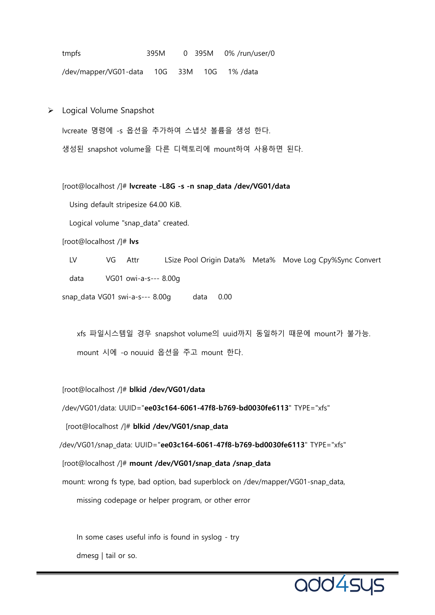tmpfs 395M 0 395M 0% /run/user/0

/dev/mapper/VG01-data 10G 33M 10G 1% /data

➢ Logical Volume Snapshot

lvcreate 명령에 -s 옵션을 추가하여 스냅샷 볼륨을 생성 한다.

생성된 snapshot volume을 다른 디렉토리에 mount하여 사용하면 된다.

[root@localhost /]# **lvcreate -L8G -s -n snap\_data /dev/VG01/data**

Using default stripesize 64.00 KiB.

Logical volume "snap\_data" created.

[root@localhost /]# **lvs**

 LV VG Attr LSize Pool Origin Data% Meta% Move Log Cpy%Sync Convert data VG01 owi-a-s--- 8.00g

snap\_data VG01 swi-a-s--- 8.00g data 0.00

xfs 파일시스템일 경우 snapshot volume의 uuid까지 동일하기 때문에 mount가 불가능. mount 시에 -o nouuid 옵션을 주고 mount 한다.

[root@localhost /]# **blkid /dev/VG01/data**

/dev/VG01/data: UUID="**ee03c164-6061-47f8-b769-bd0030fe6113**" TYPE="xfs"

[root@localhost /]# **blkid /dev/VG01/snap\_data**

/dev/VG01/snap\_data: UUID="**ee03c164-6061-47f8-b769-bd0030fe6113**" TYPE="xfs"

[root@localhost /]# **mount /dev/VG01/snap\_data /snap\_data**

mount: wrong fs type, bad option, bad superblock on /dev/mapper/VG01-snap\_data,

missing codepage or helper program, or other error

 In some cases useful info is found in syslog - try dmesg | tail or so.